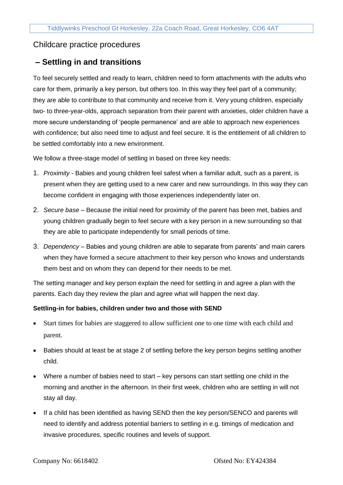## Childcare practice procedures

# **– Settling in and transitions**

To feel securely settled and ready to learn, children need to form attachments with the adults who care for them, primarily a key person, but others too. In this way they feel part of a community; they are able to contribute to that community and receive from it. Very young children, especially two- to three-year-olds, approach separation from their parent with anxieties, older children have a more secure understanding of 'people permanence' and are able to approach new experiences with confidence; but also need time to adjust and feel secure. It is the entitlement of all children to be settled comfortably into a new environment.

We follow a three-stage model of settling in based on three key needs:

- 1. *Proximity*  Babies and young children feel safest when a familiar adult, such as a parent, is present when they are getting used to a new carer and new surroundings. In this way they can become confident in engaging with those experiences independently later on.
- 2. *Secure base* Because the initial need for proximity of the parent has been met, babies and young children gradually begin to feel secure with a key person in a new surrounding so that they are able to participate independently for small periods of time.
- 3. *Dependency*  Babies and young children are able to separate from parents' and main carers when they have formed a secure attachment to their key person who knows and understands them best and on whom they can depend for their needs to be met.

The setting manager and key person explain the need for settling in and agree a plan with the parents. Each day they review the plan and agree what will happen the next day.

#### **Settling-in for babies, children under two and those with SEND**

- Start times for babies are staggered to allow sufficient one to one time with each child and parent.
- Babies should at least be at stage 2 of settling before the key person begins settling another child.
- Where a number of babies need to start key persons can start settling one child in the morning and another in the afternoon. In their first week, children who are settling in will not stay all day.
- If a child has been identified as having SEND then the key person/SENCO and parents will need to identify and address potential barriers to settling in e.g. timings of medication and invasive procedures, specific routines and levels of support.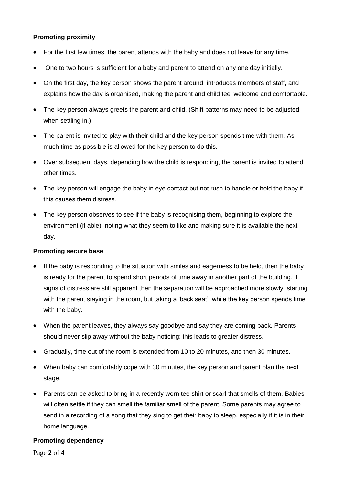### **Promoting proximity**

- For the first few times, the parent attends with the baby and does not leave for any time.
- One to two hours is sufficient for a baby and parent to attend on any one day initially.
- On the first day, the key person shows the parent around, introduces members of staff, and explains how the day is organised, making the parent and child feel welcome and comfortable.
- The key person always greets the parent and child. (Shift patterns may need to be adjusted when settling in.)
- The parent is invited to play with their child and the key person spends time with them. As much time as possible is allowed for the key person to do this.
- Over subsequent days, depending how the child is responding, the parent is invited to attend other times.
- The key person will engage the baby in eye contact but not rush to handle or hold the baby if this causes them distress.
- The key person observes to see if the baby is recognising them, beginning to explore the environment (if able), noting what they seem to like and making sure it is available the next day.

## **Promoting secure base**

- If the baby is responding to the situation with smiles and eagerness to be held, then the baby is ready for the parent to spend short periods of time away in another part of the building. If signs of distress are still apparent then the separation will be approached more slowly, starting with the parent staying in the room, but taking a 'back seat', while the key person spends time with the baby.
- When the parent leaves, they always say goodbye and say they are coming back. Parents should never slip away without the baby noticing; this leads to greater distress.
- Gradually, time out of the room is extended from 10 to 20 minutes, and then 30 minutes.
- When baby can comfortably cope with 30 minutes, the key person and parent plan the next stage.
- Parents can be asked to bring in a recently worn tee shirt or scarf that smells of them. Babies will often settle if they can smell the familiar smell of the parent. Some parents may agree to send in a recording of a song that they sing to get their baby to sleep, especially if it is in their home language.

#### **Promoting dependency**

Page **2** of **4**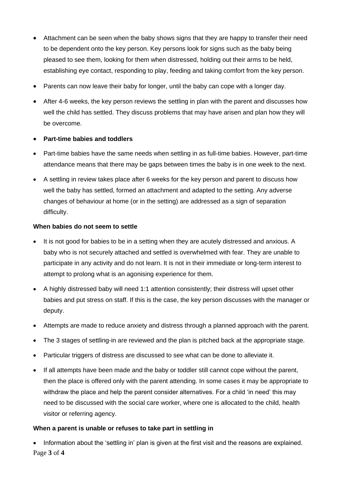- Attachment can be seen when the baby shows signs that they are happy to transfer their need to be dependent onto the key person. Key persons look for signs such as the baby being pleased to see them, looking for them when distressed, holding out their arms to be held, establishing eye contact, responding to play, feeding and taking comfort from the key person.
- Parents can now leave their baby for longer, until the baby can cope with a longer day.
- After 4-6 weeks, the key person reviews the settling in plan with the parent and discusses how well the child has settled. They discuss problems that may have arisen and plan how they will be overcome.

## • **Part-time babies and toddlers**

- Part-time babies have the same needs when settling in as full-time babies. However, part-time attendance means that there may be gaps between times the baby is in one week to the next.
- A settling in review takes place after 6 weeks for the key person and parent to discuss how well the baby has settled, formed an attachment and adapted to the setting. Any adverse changes of behaviour at home (or in the setting) are addressed as a sign of separation difficulty.

## **When babies do not seem to settle**

- It is not good for babies to be in a setting when they are acutely distressed and anxious. A baby who is not securely attached and settled is overwhelmed with fear. They are unable to participate in any activity and do not learn. It is not in their immediate or long-term interest to attempt to prolong what is an agonising experience for them.
- A highly distressed baby will need 1:1 attention consistently; their distress will upset other babies and put stress on staff. If this is the case, the key person discusses with the manager or deputy.
- Attempts are made to reduce anxiety and distress through a planned approach with the parent.
- The 3 stages of settling-in are reviewed and the plan is pitched back at the appropriate stage.
- Particular triggers of distress are discussed to see what can be done to alleviate it.
- If all attempts have been made and the baby or toddler still cannot cope without the parent, then the place is offered only with the parent attending. In some cases it may be appropriate to withdraw the place and help the parent consider alternatives. For a child 'in need' this may need to be discussed with the social care worker, where one is allocated to the child, health visitor or referring agency.

## **When a parent is unable or refuses to take part in settling in**

Page **3** of **4** • Information about the 'settling in' plan is given at the first visit and the reasons are explained.